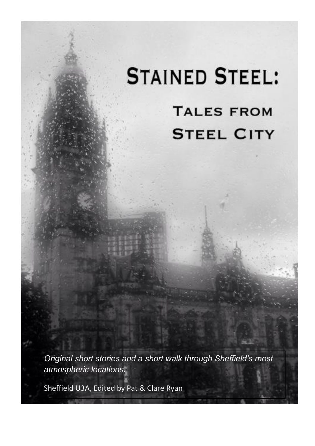# **STAINED STEEL: TALES FROM STEEL CITY**

*Original short stories and a short walk through Sheffield's most atmospheric locations.*

Sheffield U3A, Edited by Pat & Clare Ryan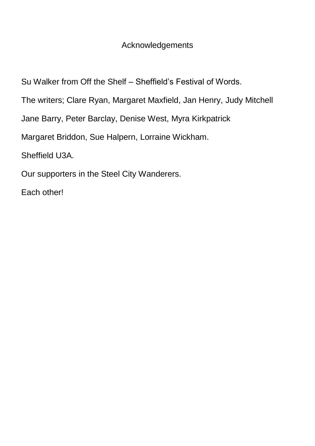# **Acknowledgements**

Su Walker from Off the Shelf – Sheffield's Festival of Words.

The writers; Clare Ryan, Margaret Maxfield, Jan Henry, Judy Mitchell

Jane Barry, Peter Barclay, Denise West, Myra Kirkpatrick

Margaret Briddon, Sue Halpern, Lorraine Wickham.

Sheffield U3A.

Our supporters in the Steel City Wanderers.

Each other!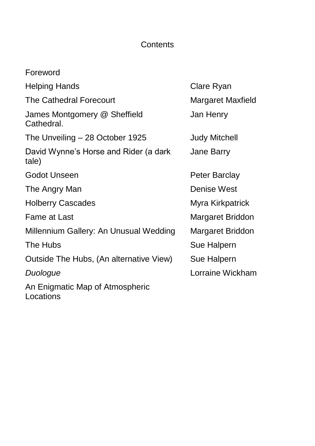# **Contents**

| Foreword                                       |                      |
|------------------------------------------------|----------------------|
| <b>Helping Hands</b>                           | Clare Ryan           |
| <b>The Cathedral Forecourt</b>                 | Margaret Maxfield    |
| James Montgomery @ Sheffield<br>Cathedral.     | Jan Henry            |
| The Unveiling – 28 October 1925                | <b>Judy Mitchell</b> |
| David Wynne's Horse and Rider (a dark<br>tale) | Jane Barry           |
| Godot Unseen                                   | Peter Barclay        |
| The Angry Man                                  | Denise West          |
| <b>Holberry Cascades</b>                       | Myra Kirkpatrick     |
| Fame at Last                                   | Margaret Briddon     |
| Millennium Gallery: An Unusual Wedding         | Margaret Briddon     |
| The Hubs                                       | Sue Halpern          |
| Outside The Hubs, (An alternative View)        | Sue Halpern          |
| Duologue                                       | Lorraine Wickham     |
| An Enigmatic Map of Atmospheric<br>Locations   |                      |

ty Mitchell ne Barry nise West ra Kirkpatrick rgaret Briddon rgaret Briddon e Halpern **Traine Wickham**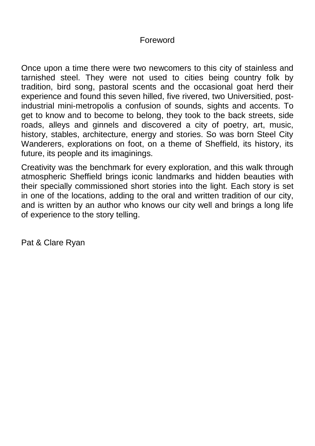## Foreword

Once upon a time there were two newcomers to this city of stainless and tarnished steel. They were not used to cities being country folk by tradition, bird song, pastoral scents and the occasional goat herd their experience and found this seven hilled, five rivered, two Universitied, postindustrial mini-metropolis a confusion of sounds, sights and accents. To get to know and to become to belong, they took to the back streets, side roads, alleys and ginnels and discovered a city of poetry, art, music, history, stables, architecture, energy and stories. So was born Steel City Wanderers, explorations on foot, on a theme of Sheffield, its history, its future, its people and its imaginings.

Creativity was the benchmark for every exploration, and this walk through atmospheric Sheffield brings iconic landmarks and hidden beauties with their specially commissioned short stories into the light. Each story is set in one of the locations, adding to the oral and written tradition of our city, and is written by an author who knows our city well and brings a long life of experience to the story telling.

Pat & Clare Ryan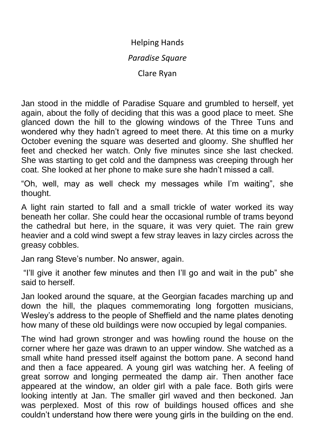## Helping Hands

#### *Paradise Square*

Clare Ryan

Jan stood in the middle of Paradise Square and grumbled to herself, yet again, about the folly of deciding that this was a good place to meet. She glanced down the hill to the glowing windows of the Three Tuns and wondered why they hadn't agreed to meet there. At this time on a murky October evening the square was deserted and gloomy. She shuffled her feet and checked her watch. Only five minutes since she last checked. She was starting to get cold and the dampness was creeping through her coat. She looked at her phone to make sure she hadn't missed a call.

"Oh, well, may as well check my messages while I'm waiting", she thought.

A light rain started to fall and a small trickle of water worked its way beneath her collar. She could hear the occasional rumble of trams beyond the cathedral but here, in the square, it was very quiet. The rain grew heavier and a cold wind swept a few stray leaves in lazy circles across the greasy cobbles.

Jan rang Steve's number. No answer, again.

"I'll give it another few minutes and then I'll go and wait in the pub" she said to herself.

Jan looked around the square, at the Georgian facades marching up and down the hill, the plaques commemorating long forgotten musicians, Wesley's address to the people of Sheffield and the name plates denoting how many of these old buildings were now occupied by legal companies.

The wind had grown stronger and was howling round the house on the corner where her gaze was drawn to an upper window. She watched as a small white hand pressed itself against the bottom pane. A second hand and then a face appeared. A young girl was watching her. A feeling of great sorrow and longing permeated the damp air. Then another face appeared at the window, an older girl with a pale face. Both girls were looking intently at Jan. The smaller girl waved and then beckoned. Jan was perplexed. Most of this row of buildings housed offices and she couldn't understand how there were young girls in the building on the end.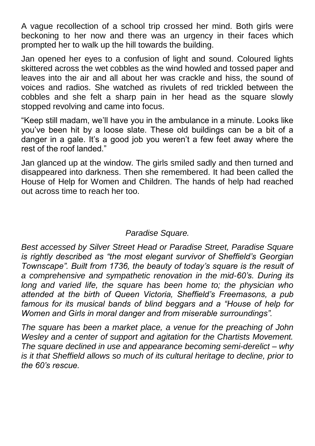A vague recollection of a school trip crossed her mind. Both girls were beckoning to her now and there was an urgency in their faces which prompted her to walk up the hill towards the building.

Jan opened her eyes to a confusion of light and sound. Coloured lights skittered across the wet cobbles as the wind howled and tossed paper and leaves into the air and all about her was crackle and hiss, the sound of voices and radios. She watched as rivulets of red trickled between the cobbles and she felt a sharp pain in her head as the square slowly stopped revolving and came into focus.

"Keep still madam, we'll have you in the ambulance in a minute. Looks like you've been hit by a loose slate. These old buildings can be a bit of a danger in a gale. It's a good job you weren't a few feet away where the rest of the roof landed."

Jan glanced up at the window. The girls smiled sadly and then turned and disappeared into darkness. Then she remembered. It had been called the House of Help for Women and Children. The hands of help had reached out across time to reach her too.

## *Paradise Square.*

*Best accessed by Silver Street Head or Paradise Street, Paradise Square is rightly described as "the most elegant survivor of Sheffield's Georgian Townscape". Built from 1736, the beauty of today's square is the result of a comprehensive and sympathetic renovation in the mid-60's. During its long and varied life, the square has been home to; the physician who attended at the birth of Queen Victoria, Sheffield's Freemasons, a pub famous for its musical bands of blind beggars and a "House of help for Women and Girls in moral danger and from miserable surroundings".*

*The square has been a market place, a venue for the preaching of John Wesley and a center of support and agitation for the Chartists Movement. The square declined in use and appearance becoming semi-derelict – why is it that Sheffield allows so much of its cultural heritage to decline, prior to the 60's rescue.*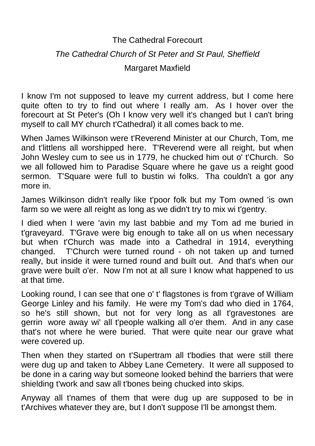# The Cathedral Forecourt *The Cathedral Church of St Peter and St Paul, Sheffield* Margaret Maxfield

I know I'm not supposed to leave my current address, but I come here quite often to try to find out where I really am. As I hover over the forecourt at St Peter's (Oh I know very well it's changed but I can't bring myself to call MY church t'Cathedral) it all comes back to me.

When James Wilkinson were t'Reverend Minister at our Church, Tom, me and t'littlens all worshipped here. T'Reverend were all reight, but when John Wesley cum to see us in 1779, he chucked him out o' t'Church. So we all followed him to Paradise Square where he gave us a reight good sermon. T'Square were full to bustin wi folks. Tha couldn't a gor any more in.

James Wilkinson didn't really like t'poor folk but my Tom owned 'is own farm so we were all reight as long as we didn't try to mix wi t'gentry.

I died when I were 'avin my last babbie and my Tom ad me buried in t'graveyard. T'Grave were big enough to take all on us when necessary but when t'Church was made into a Cathedral in 1914, everything changed. T'Church were turned round - oh not taken up and turned really, but inside it were turned round and built out. And that's when our grave were built o'er. Now I'm not at all sure I know what happened to us at that time.

Looking round, I can see that one o' t' flagstones is from t'grave of William George Linley and his family. He were my Tom's dad who died in 1764, so he's still shown, but not for very long as all t'gravestones are gerrin wore away wi' all t'people walking all o'er them. And in any case that's not where he were buried. That were quite near our grave what were covered up.

Then when they started on t'Supertram all t'bodies that were still there were dug up and taken to Abbey Lane Cemetery. It were all supposed to be done in a caring way but someone looked behind the barriers that were shielding t'work and saw all t'bones being chucked into skips.

Anyway all t'names of them that were dug up are supposed to be in t'Archives whatever they are, but I don't suppose I'll be amongst them.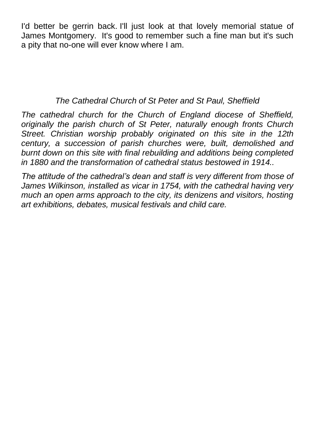I'd better be gerrin back. I'll just look at that lovely memorial statue of James Montgomery. It's good to remember such a fine man but it's such a pity that no-one will ever know where I am.

# *The Cathedral Church of St Peter and St Paul, Sheffield*

*The cathedral church for the Church of England diocese of Sheffield, originally the parish church of St Peter, naturally enough fronts Church Street. Christian worship probably originated on this site in the 12th century, a succession of parish churches were, built, demolished and burnt down on this site with final rebuilding and additions being completed in 1880 and the transformation of cathedral status bestowed in 1914..* 

*The attitude of the cathedral's dean and staff is very different from those of James Wilkinson, installed as vicar in 1754, with the cathedral having very much an open arms approach to the city, its denizens and visitors, hosting art exhibitions, debates, musical festivals and child care.*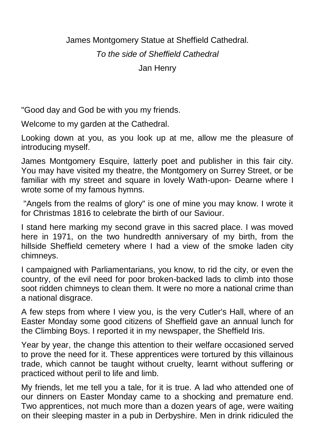James Montgomery Statue at Sheffield Cathedral.

*To the side of Sheffield Cathedral*

Jan Henry

"Good day and God be with you my friends.

Welcome to my garden at the Cathedral.

Looking down at you, as you look up at me, allow me the pleasure of introducing myself.

James Montgomery Esquire, latterly poet and publisher in this fair city. You may have visited my theatre, the Montgomery on Surrey Street, or be familiar with my street and square in lovely Wath-upon- Dearne where I wrote some of my famous hymns.

"Angels from the realms of glory" is one of mine you may know. I wrote it for Christmas 1816 to celebrate the birth of our Saviour.

I stand here marking my second grave in this sacred place. I was moved here in 1971, on the two hundredth anniversary of my birth, from the hillside Sheffield cemetery where I had a view of the smoke laden city chimneys.

I campaigned with Parliamentarians, you know, to rid the city, or even the country, of the evil need for poor broken-backed lads to climb into those soot ridden chimneys to clean them. It were no more a national crime than a national disgrace.

A few steps from where I view you, is the very Cutler's Hall, where of an Easter Monday some good citizens of Sheffield gave an annual lunch for the Climbing Boys. I reported it in my newspaper, the Sheffield Iris.

Year by year, the change this attention to their welfare occasioned served to prove the need for it. These apprentices were tortured by this villainous trade, which cannot be taught without cruelty, learnt without suffering or practiced without peril to life and limb.

My friends, let me tell you a tale, for it is true. A lad who attended one of our dinners on Easter Monday came to a shocking and premature end. Two apprentices, not much more than a dozen years of age, were waiting on their sleeping master in a pub in Derbyshire. Men in drink ridiculed the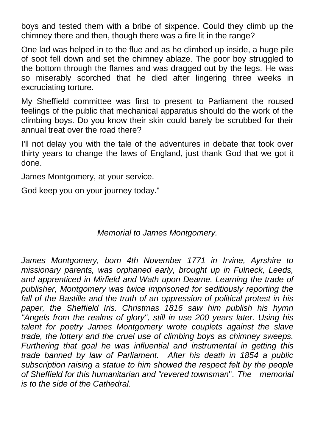boys and tested them with a bribe of sixpence. Could they climb up the chimney there and then, though there was a fire lit in the range?

One lad was helped in to the flue and as he climbed up inside, a huge pile of soot fell down and set the chimney ablaze. The poor boy struggled to the bottom through the flames and was dragged out by the legs. He was so miserably scorched that he died after lingering three weeks in excruciating torture.

My Sheffield committee was first to present to Parliament the roused feelings of the public that mechanical apparatus should do the work of the climbing boys. Do you know their skin could barely be scrubbed for their annual treat over the road there?

I'll not delay you with the tale of the adventures in debate that took over thirty years to change the laws of England, just thank God that we got it done.

James Montgomery, at your service.

God keep you on your journey today."

## *Memorial to James Montgomery.*

*James Montgomery, born 4th November 1771 in Irvine, Ayrshire to missionary parents, was orphaned early, brought up in Fulneck, Leeds, and apprenticed in Mirfield and Wath upon Dearne. Learning the trade of publisher, Montgomery was twice imprisoned for seditiously reporting the fall of the Bastille and the truth of an oppression of political protest in his paper, the Sheffield Iris. Christmas 1816 saw him publish his hymn "Angels from the realms of glory", still in use 200 years later. Using his talent for poetry James Montgomery wrote couplets against the slave trade, the lottery and the cruel use of climbing boys as chimney sweeps. Furthering that goal he was influential and instrumental in getting this trade banned by law of Parliament. After his death in 1854 a public subscription raising a statue to him showed the respect felt by the people of Sheffield for this humanitarian and "revered townsman*". *The memorial is to the side of the Cathedral.*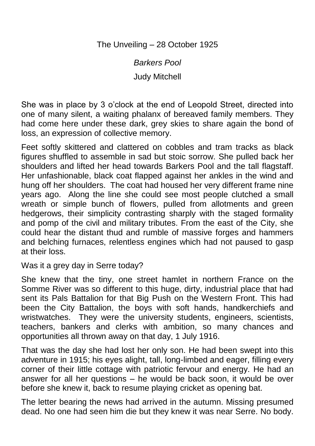The Unveiling – 28 October 1925

*Barkers Pool*

Judy Mitchell

She was in place by 3 o'clock at the end of Leopold Street, directed into one of many silent, a waiting phalanx of bereaved family members. They had come here under these dark, grey skies to share again the bond of loss, an expression of collective memory.

Feet softly skittered and clattered on cobbles and tram tracks as black figures shuffled to assemble in sad but stoic sorrow. She pulled back her shoulders and lifted her head towards Barkers Pool and the tall flagstaff. Her unfashionable, black coat flapped against her ankles in the wind and hung off her shoulders. The coat had housed her very different frame nine years ago. Along the line she could see most people clutched a small wreath or simple bunch of flowers, pulled from allotments and green hedgerows, their simplicity contrasting sharply with the staged formality and pomp of the civil and military tributes. From the east of the City, she could hear the distant thud and rumble of massive forges and hammers and belching furnaces, relentless engines which had not paused to gasp at their loss.

Was it a grey day in Serre today?

She knew that the tiny, one street hamlet in northern France on the Somme River was so different to this huge, dirty, industrial place that had sent its Pals Battalion for that Big Push on the Western Front. This had been the City Battalion, the boys with soft hands, handkerchiefs and wristwatches. They were the university students, engineers, scientists, teachers, bankers and clerks with ambition, so many chances and opportunities all thrown away on that day, 1 July 1916.

That was the day she had lost her only son. He had been swept into this adventure in 1915; his eyes alight, tall, long-limbed and eager, filling every corner of their little cottage with patriotic fervour and energy. He had an answer for all her questions – he would be back soon, it would be over before she knew it, back to resume playing cricket as opening bat.

The letter bearing the news had arrived in the autumn. Missing presumed dead. No one had seen him die but they knew it was near Serre. No body.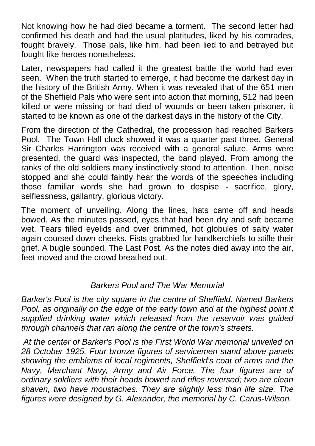Not knowing how he had died became a torment. The second letter had confirmed his death and had the usual platitudes, liked by his comrades, fought bravely. Those pals, like him, had been lied to and betrayed but fought like heroes nonetheless.

Later, newspapers had called it the greatest battle the world had ever seen. When the truth started to emerge, it had become the darkest day in the history of the British Army. When it was revealed that of the 651 men of the Sheffield Pals who were sent into action that morning, 512 had been killed or were missing or had died of wounds or been taken prisoner, it started to be known as one of the darkest days in the history of the City.

From the direction of the Cathedral, the procession had reached Barkers Pool. The Town Hall clock showed it was a quarter past three. General Sir Charles Harrington was received with a general salute. Arms were presented, the guard was inspected, the band played. From among the ranks of the old soldiers many instinctively stood to attention. Then, noise stopped and she could faintly hear the words of the speeches including those familiar words she had grown to despise - sacrifice, glory, selflessness, gallantry, glorious victory.

The moment of unveiling. Along the lines, hats came off and heads bowed. As the minutes passed, eyes that had been dry and soft became wet. Tears filled eyelids and over brimmed, hot globules of salty water again coursed down cheeks. Fists grabbed for handkerchiefs to stifle their grief. A bugle sounded. The Last Post. As the notes died away into the air, feet moved and the crowd breathed out.

## *Barkers Pool and The War Memorial*

*Barker's Pool is the [city square](https://en.wikipedia.org/wiki/Town_square) in the centre of Sheffield. Named Barkers Pool, as originally on the edge of the early town and at the highest point it supplied drinking water which released from the reservoir was guided through channels that ran along the centre of the town's streets.*

*At the center of Barker's Pool is the [First World War](https://en.wikipedia.org/wiki/First_World_War) memorial unveiled on 28 October 1925. Four bronze figures of servicemen stand above panels showing the emblems of local regiments, Sheffield's coat of arms and the Navy, Merchant Navy, Army and Air Force. The four figures are of ordinary soldiers with their heads bowed and rifles reversed; two are clean shaven, two have moustaches. They are slightly less than life size. The figures were designed by G. Alexander, the memorial by C. Carus-Wilson.*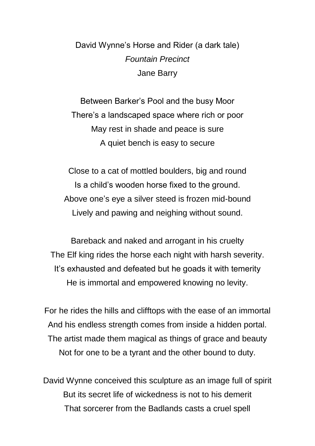David Wynne's Horse and Rider (a dark tale) *Fountain Precinct*  Jane Barry

Between Barker's Pool and the busy Moor There's a landscaped space where rich or poor May rest in shade and peace is sure A quiet bench is easy to secure

Close to a cat of mottled boulders, big and round Is a child's wooden horse fixed to the ground. Above one's eye a silver steed is frozen mid-bound Lively and pawing and neighing without sound.

Bareback and naked and arrogant in his cruelty The Elf king rides the horse each night with harsh severity. It's exhausted and defeated but he goads it with temerity He is immortal and empowered knowing no levity.

For he rides the hills and clifftops with the ease of an immortal And his endless strength comes from inside a hidden portal. The artist made them magical as things of grace and beauty Not for one to be a tyrant and the other bound to duty.

David Wynne conceived this sculpture as an image full of spirit But its secret life of wickedness is not to his demerit That sorcerer from the Badlands casts a cruel spell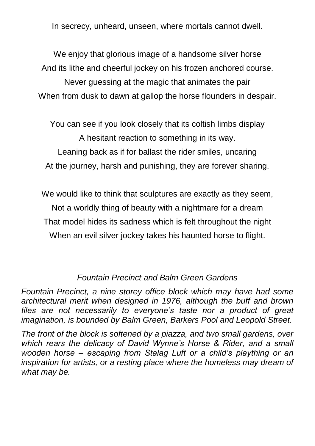In secrecy, unheard, unseen, where mortals cannot dwell.

We enjoy that glorious image of a handsome silver horse And its lithe and cheerful jockey on his frozen anchored course.

Never guessing at the magic that animates the pair When from dusk to dawn at gallop the horse flounders in despair.

You can see if you look closely that its coltish limbs display A hesitant reaction to something in its way. Leaning back as if for ballast the rider smiles, uncaring At the journey, harsh and punishing, they are forever sharing.

We would like to think that sculptures are exactly as they seem, Not a worldly thing of beauty with a nightmare for a dream That model hides its sadness which is felt throughout the night When an evil silver jockey takes his haunted horse to flight.

# *Fountain Precinct and Balm Green Gardens*

*Fountain Precinct, a nine storey office block which may have had some architectural merit when designed in 1976, although the buff and brown tiles are not necessarily to everyone's taste nor a product of great imagination, is bounded by Balm Green, Barkers Pool and Leopold Street.* 

*The front of the block is softened by a piazza, and two small gardens, over which rears the delicacy of David Wynne's Horse & Rider, and a small wooden horse – escaping from Stalag Luft or a child's plaything or an inspiration for artists, or a resting place where the homeless may dream of what may be.*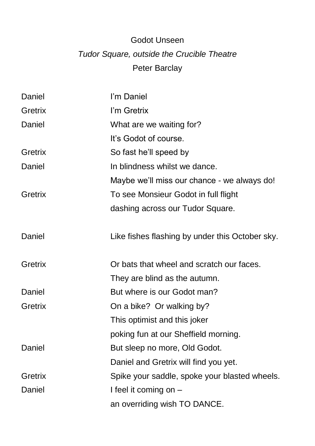# Godot Unseen *Tudor Square, outside the Crucible Theatre* Peter Barclay

| Daniel  | I'm Daniel                                      |
|---------|-------------------------------------------------|
| Gretrix | I'm Gretrix                                     |
| Daniel  | What are we waiting for?                        |
|         | It's Godot of course.                           |
| Gretrix | So fast he'll speed by                          |
| Daniel  | In blindness whilst we dance.                   |
|         | Maybe we'll miss our chance - we always do!     |
| Gretrix | To see Monsieur Godot in full flight            |
|         | dashing across our Tudor Square.                |
| Daniel  | Like fishes flashing by under this October sky. |
| Gretrix | Or bats that wheel and scratch our faces.       |
|         | They are blind as the autumn.                   |
| Daniel  | But where is our Godot man?                     |
| Gretrix | On a bike? Or walking by?                       |
|         | This optimist and this joker                    |
|         | poking fun at our Sheffield morning.            |
| Daniel  | But sleep no more, Old Godot.                   |
|         | Daniel and Gretrix will find you yet.           |
| Gretrix | Spike your saddle, spoke your blasted wheels.   |
| Daniel  | I feel it coming on -                           |
|         | an overriding wish TO DANCE.                    |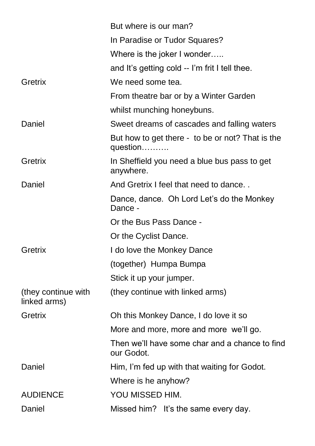|                                     | But where is our man?                                        |
|-------------------------------------|--------------------------------------------------------------|
|                                     | In Paradise or Tudor Squares?                                |
|                                     | Where is the joker I wonder                                  |
|                                     | and It's getting cold -- I'm frit I tell thee.               |
| Gretrix                             | We need some tea.                                            |
|                                     | From theatre bar or by a Winter Garden                       |
|                                     | whilst munching honeybuns.                                   |
| Daniel                              | Sweet dreams of cascades and falling waters                  |
|                                     | But how to get there - to be or not? That is the<br>question |
| Gretrix                             | In Sheffield you need a blue bus pass to get<br>anywhere.    |
| Daniel                              | And Gretrix I feel that need to dance                        |
|                                     | Dance, dance. Oh Lord Let's do the Monkey<br>Dance -         |
|                                     | Or the Bus Pass Dance -                                      |
|                                     | Or the Cyclist Dance.                                        |
| Gretrix                             | I do love the Monkey Dance                                   |
|                                     | (together) Humpa Bumpa                                       |
|                                     | Stick it up your jumper.                                     |
| (they continue with<br>linked arms) | (they continue with linked arms)                             |
| Gretrix                             | Oh this Monkey Dance, I do love it so                        |
|                                     | More and more, more and more we'll go.                       |
|                                     | Then we'll have some char and a chance to find<br>our Godot. |
| Daniel                              | Him, I'm fed up with that waiting for Godot.                 |
|                                     | Where is he anyhow?                                          |
| <b>AUDIENCE</b>                     | YOU MISSED HIM.                                              |
| Daniel                              | Missed him? It's the same every day.                         |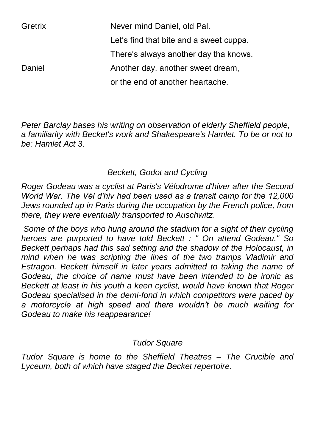| Gretrix | Never mind Daniel, old Pal.             |
|---------|-----------------------------------------|
|         | Let's find that bite and a sweet cuppa. |
|         | There's always another day tha knows.   |
| Daniel  | Another day, another sweet dream,       |
|         | or the end of another heartache.        |

*Peter Barclay bases his writing on observation of elderly Sheffield people, a familiarity with Becket's work and Shakespeare's Hamlet. To be or not to be: Hamlet Act 3*.

# *Beckett, Godot and Cycling*

*Roger Godeau was a cyclist at Paris's Vélodrome d'hiver after the Second World War. The Vél d'hiv had been used as a transit camp for the 12,000 Jews rounded up in Paris during the occupation by the French police, from there, they were eventually transported to Auschwitz.*

*Some of the boys who hung around the stadium for a sight of their cycling heroes are purported to have told Beckett : " On attend Godeau." So Beckett perhaps had this sad setting and the shadow of the Holocaust, in mind when he was scripting the lines of the two tramps Vladimir and Estragon. Beckett himself in later years admitted to taking the name of Godeau, the choice of name must have been intended to be ironic as Beckett at least in his youth a keen cyclist, would have known that Roger Godeau specialised in the demi-fond in which competitors were paced by a motorcycle at high speed and there wouldn't be much waiting for Godeau to make his reappearance!*

#### *Tudor Square*

*Tudor Square is home to the Sheffield Theatres – The Crucible and Lyceum, both of which have staged the Becket repertoire.*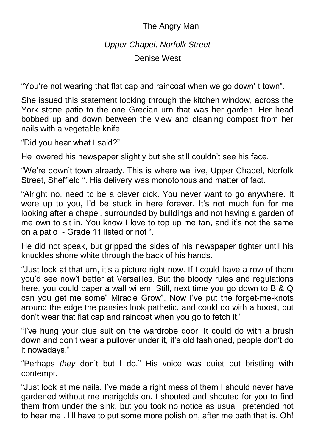# The Angry Man

# *Upper Chapel, Norfolk Street*

Denise West

"You're not wearing that flat cap and raincoat when we go down' t town".

She issued this statement looking through the kitchen window, across the York stone patio to the one Grecian urn that was her garden. Her head bobbed up and down between the view and cleaning compost from her nails with a vegetable knife.

"Did you hear what I said?"

He lowered his newspaper slightly but she still couldn't see his face.

"We're down't town already. This is where we live, Upper Chapel, Norfolk Street, Sheffield ". His delivery was monotonous and matter of fact.

"Alright no, need to be a clever dick. You never want to go anywhere. It were up to you, I'd be stuck in here forever. It's not much fun for me looking after a chapel, surrounded by buildings and not having a garden of me own to sit in. You know I love to top up me tan, and it's not the same on a patio - Grade 11 listed or not ".

He did not speak, but gripped the sides of his newspaper tighter until his knuckles shone white through the back of his hands.

"Just look at that urn, it's a picture right now. If I could have a row of them you'd see now't better at Versailles. But the bloody rules and regulations here, you could paper a wall wi em. Still, next time you go down to B & Q can you get me some" Miracle Grow". Now I've put the forget-me-knots around the edge the pansies look pathetic, and could do with a boost, but don't wear that flat cap and raincoat when you go to fetch it."

"I've hung your blue suit on the wardrobe door. It could do with a brush down and don't wear a pullover under it, it's old fashioned, people don't do it nowadays."

"Perhaps *they* don't but I do." His voice was quiet but bristling with contempt.

"Just look at me nails. I've made a right mess of them I should never have gardened without me marigolds on. I shouted and shouted for you to find them from under the sink, but you took no notice as usual, pretended not to hear me . I'll have to put some more polish on, after me bath that is. Oh!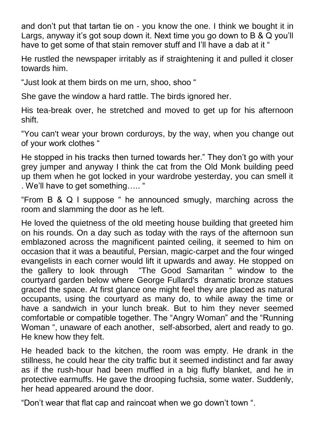and don't put that tartan tie on - you know the one. I think we bought it in Largs, anyway it's got soup down it. Next time you go down to B & Q you'll have to get some of that stain remover stuff and I'll have a dab at it "

He rustled the newspaper irritably as if straightening it and pulled it closer towards him.

"Just look at them birds on me urn, shoo, shoo "

She gave the window a hard rattle. The birds ignored her.

His tea-break over, he stretched and moved to get up for his afternoon shift.

"You can't wear your brown corduroys, by the way, when you change out of your work clothes "

He stopped in his tracks then turned towards her." They don't go with your grey jumper and anyway I think the cat from the Old Monk building peed up them when he got locked in your wardrobe yesterday, you can smell it . We'll have to get something….. "

"From B & Q I suppose " he announced smugly, marching across the room and slamming the door as he left.

He loved the quietness of the old meeting house building that greeted him on his rounds. On a day such as today with the rays of the afternoon sun emblazoned across the magnificent painted ceiling, it seemed to him on occasion that it was a beautiful, Persian, magic-carpet and the four winged evangelists in each corner would lift it upwards and away. He stopped on the gallery to look through "The Good Samaritan " window to the courtyard garden below where George Fullard's dramatic bronze statues graced the space. At first glance one might feel they are placed as natural occupants, using the courtyard as many do, to while away the time or have a sandwich in your lunch break. But to him they never seemed comfortable or compatible together. The "Angry Woman" and the "Running Woman ", unaware of each another, self-absorbed, alert and ready to go. He knew how they felt.

He headed back to the kitchen, the room was empty. He drank in the stillness, he could hear the city traffic but it seemed indistinct and far away as if the rush-hour had been muffled in a big fluffy blanket, and he in protective earmuffs. He gave the drooping fuchsia, some water. Suddenly, her head appeared around the door.

"Don't wear that flat cap and raincoat when we go down't town ".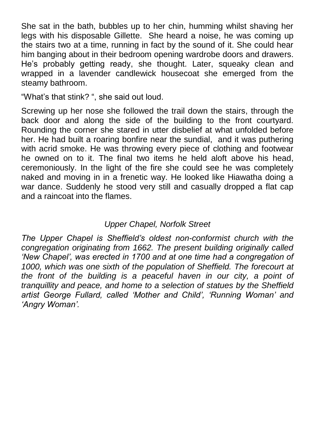She sat in the bath, bubbles up to her chin, humming whilst shaving her legs with his disposable Gillette. She heard a noise, he was coming up the stairs two at a time, running in fact by the sound of it. She could hear him banging about in their bedroom opening wardrobe doors and drawers. He's probably getting ready, she thought. Later, squeaky clean and wrapped in a lavender candlewick housecoat she emerged from the steamy bathroom.

"What's that stink? ", she said out loud.

Screwing up her nose she followed the trail down the stairs, through the back door and along the side of the building to the front courtyard. Rounding the corner she stared in utter disbelief at what unfolded before her. He had built a roaring bonfire near the sundial, and it was puthering with acrid smoke. He was throwing every piece of clothing and footwear he owned on to it. The final two items he held aloft above his head, ceremoniously. In the light of the fire she could see he was completely naked and moving in in a frenetic way. He looked like Hiawatha doing a war dance. Suddenly he stood very still and casually dropped a flat cap and a raincoat into the flames.

# *Upper Chapel, Norfolk Street*

*The Upper Chapel is Sheffield's oldest non-conformist church with the congregation originating from 1662. The present building originally called 'New Chapel', was erected in 1700 and at one time had a congregation of 1000, which was one sixth of the population of Sheffield. The forecourt at the front of the building is a peaceful haven in our city, a point of tranquillity and peace, and home to a selection of statues by the Sheffield artist George Fullard, called 'Mother and Child', 'Running Woman' and 'Angry Woman'.*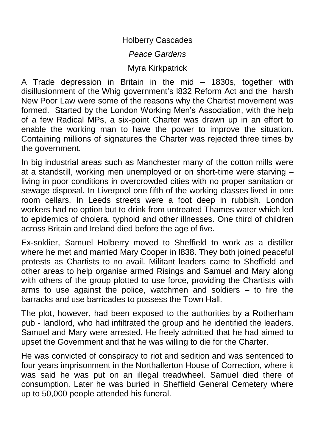Holberry Cascades

*Peace Gardens*

Myra Kirkpatrick

A Trade depression in Britain in the mid – 1830s, together with disillusionment of the Whig government's l832 Reform Act and the harsh New Poor Law were some of the reasons why the Chartist movement was formed. Started by the London Working Men's Association, with the help of a few Radical MPs, a six-point Charter was drawn up in an effort to enable the working man to have the power to improve the situation. Containing millions of signatures the Charter was rejected three times by the government.

In big industrial areas such as Manchester many of the cotton mills were at a standstill, working men unemployed or on short-time were starving – living in poor conditions in overcrowded cities with no proper sanitation or sewage disposal. In Liverpool one fifth of the working classes lived in one room cellars. In Leeds streets were a foot deep in rubbish. London workers had no option but to drink from untreated Thames water which led to epidemics of cholera, typhoid and other illnesses. One third of children across Britain and Ireland died before the age of five.

Ex-soldier, Samuel Holberry moved to Sheffield to work as a distiller where he met and married Mary Cooper in l838. They both joined peaceful protests as Chartists to no avail. Militant leaders came to Sheffield and other areas to help organise armed Risings and Samuel and Mary along with others of the group plotted to use force, providing the Chartists with arms to use against the police, watchmen and soldiers – to fire the barracks and use barricades to possess the Town Hall.

The plot, however, had been exposed to the authorities by a Rotherham pub - landlord, who had infiltrated the group and he identified the leaders. Samuel and Mary were arrested. He freely admitted that he had aimed to upset the Government and that he was willing to die for the Charter.

He was convicted of conspiracy to riot and sedition and was sentenced to four years imprisonment in the Northallerton House of Correction, where it was said he was put on an illegal treadwheel. Samuel died there of consumption. Later he was buried in Sheffield General Cemetery where up to 50,000 people attended his funeral.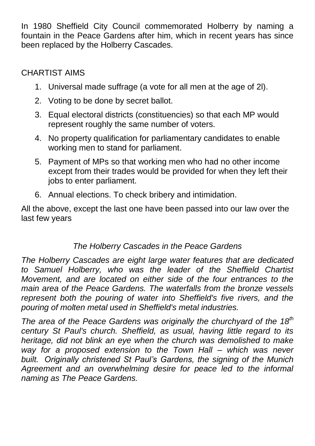In 1980 Sheffield City Council commemorated Holberry by naming a fountain in the Peace Gardens after him, which in recent years has since been replaced by the Holberry Cascades.

# CHARTIST AIMS

- 1. Universal made suffrage (a vote for all men at the age of 2l).
- 2. Voting to be done by secret ballot.
- 3. Equal electoral districts (constituencies) so that each MP would represent roughly the same number of voters.
- 4. No property qualification for parliamentary candidates to enable working men to stand for parliament.
- 5. Payment of MPs so that working men who had no other income except from their trades would be provided for when they left their jobs to enter parliament.
- 6. Annual elections. To check bribery and intimidation.

All the above, except the last one have been passed into our law over the last few years

# *The Holberry Cascades in the Peace Gardens*

*The Holberry Cascades are eight large water features that are dedicated to Samuel Holberry, who was the leader of the Sheffield Chartist Movement, and are located on either side of the four entrances to the main area of the Peace Gardens. The waterfalls from the bronze vessels represent both the pouring of water into Sheffield's five rivers, and the pouring of molten metal used in Sheffield's metal industries.*

*The area of the Peace Gardens was originally the churchyard of the 18th century St Paul's church. Sheffield, as usual, having little regard to its heritage, did not blink an eye when the church was demolished to make way for a proposed extension to the Town Hall – which was never built. Originally christened St Paul's Gardens, the signing of the Munich Agreement and an overwhelming desire for peace led to the informal naming as The Peace Gardens.*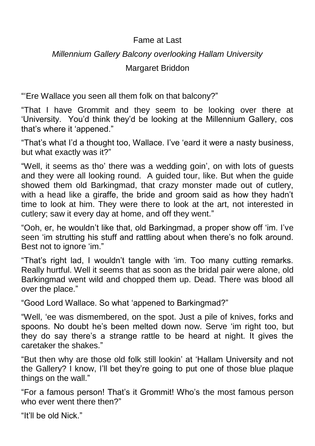# Fame at Last

# *Millennium Gallery Balcony overlooking Hallam University*

Margaret Briddon

"'Ere Wallace you seen all them folk on that balcony?"

"That I have Grommit and they seem to be looking over there at 'University. You'd think they'd be looking at the Millennium Gallery, cos that's where it 'appened."

"That's what I'd a thought too, Wallace. I've 'eard it were a nasty business, but what exactly was it?"

"Well, it seems as tho' there was a wedding goin', on with lots of guests and they were all looking round. A guided tour, like. But when the guide showed them old Barkingmad, that crazy monster made out of cutlery, with a head like a giraffe, the bride and groom said as how they hadn't time to look at him. They were there to look at the art, not interested in cutlery; saw it every day at home, and off they went."

"Ooh, er, he wouldn't like that, old Barkingmad, a proper show off 'im. I've seen 'im strutting his stuff and rattling about when there's no folk around. Best not to ignore 'im."

"That's right lad, I wouldn't tangle with 'im. Too many cutting remarks. Really hurtful. Well it seems that as soon as the bridal pair were alone, old Barkingmad went wild and chopped them up. Dead. There was blood all over the place."

"Good Lord Wallace. So what 'appened to Barkingmad?"

"Well, 'ee was dismembered, on the spot. Just a pile of knives, forks and spoons. No doubt he's been melted down now. Serve 'im right too, but they do say there's a strange rattle to be heard at night. It gives the caretaker the shakes."

"But then why are those old folk still lookin' at 'Hallam University and not the Gallery? I know, I'll bet they're going to put one of those blue plaque things on the wall."

"For a famous person! That's it Grommit! Who's the most famous person who ever went there then?"

"It'll be old Nick."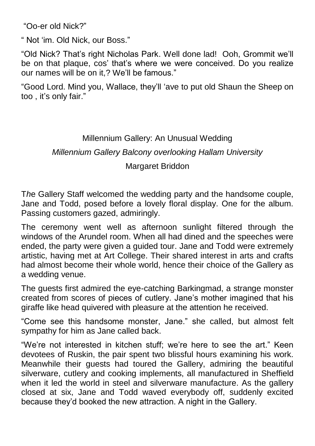"Oo-er old Nick?"

" Not 'im. Old Nick, our Boss."

"Old Nick? That's right Nicholas Park. Well done lad! Ooh, Grommit we'll be on that plaque, cos' that's where we were conceived. Do you realize our names will be on it,? We'll be famous."

"Good Lord. Mind you, Wallace, they'll 'ave to put old Shaun the Sheep on too , it's only fair."

## Millennium Gallery: An Unusual Wedding

#### *Millennium Gallery Balcony overlooking Hallam University*

#### Margaret Briddon

T*h*e Gallery Staff welcomed the wedding party and the handsome couple, Jane and Todd, posed before a lovely floral display. One for the album. Passing customers gazed, admiringly.

The ceremony went well as afternoon sunlight filtered through the windows of the Arundel room. When all had dined and the speeches were ended, the party were given a guided tour. Jane and Todd were extremely artistic, having met at Art College. Their shared interest in arts and crafts had almost become their whole world, hence their choice of the Gallery as a wedding venue.

The guests first admired the eye-catching Barkingmad, a strange monster created from scores of pieces of cutlery. Jane's mother imagined that his giraffe like head quivered with pleasure at the attention he received.

"Come see this handsome monster, Jane." she called, but almost felt sympathy for him as Jane called back.

"We're not interested in kitchen stuff; we're here to see the art." Keen devotees of Ruskin, the pair spent two blissful hours examining his work. Meanwhile their guests had toured the Gallery, admiring the beautiful silverware, cutlery and cooking implements, all manufactured in Sheffield when it led the world in steel and silverware manufacture. As the gallery closed at six, Jane and Todd waved everybody off, suddenly excited because they'd booked the new attraction. A night in the Gallery.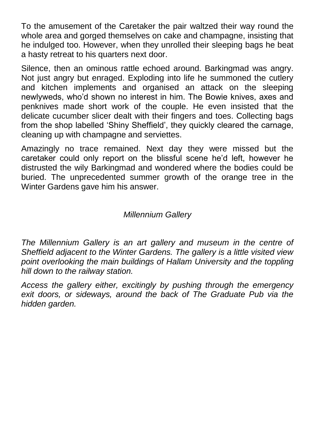To the amusement of the Caretaker the pair waltzed their way round the whole area and gorged themselves on cake and champagne, insisting that he indulged too. However, when they unrolled their sleeping bags he beat a hasty retreat to his quarters next door.

Silence, then an ominous rattle echoed around. Barkingmad was angry. Not just angry but enraged. Exploding into life he summoned the cutlery and kitchen implements and organised an attack on the sleeping newlyweds, who'd shown no interest in him. The Bowie knives, axes and penknives made short work of the couple. He even insisted that the delicate cucumber slicer dealt with their fingers and toes. Collecting bags from the shop labelled 'Shiny Sheffield', they quickly cleared the carnage, cleaning up with champagne and serviettes.

Amazingly no trace remained. Next day they were missed but the caretaker could only report on the blissful scene he'd left, however he distrusted the wily Barkingmad and wondered where the bodies could be buried. The unprecedented summer growth of the orange tree in the Winter Gardens gave him his answer.

## *Millennium Gallery*

*The Millennium Gallery is an art gallery and museum in the centre of Sheffield adjacent to the Winter Gardens. The gallery is a little visited view point overlooking the main buildings of Hallam University and the toppling hill down to the railway station.*

*Access the gallery either, excitingly by pushing through the emergency exit doors, or sideways, around the back of The Graduate Pub via the hidden garden.*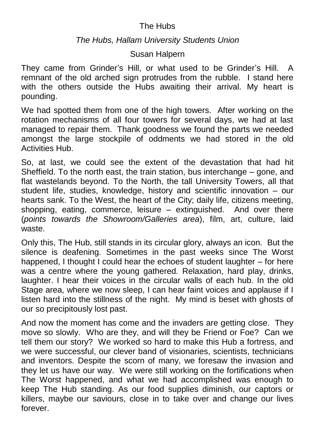## The Hubs

#### *The Hubs, Hallam University Students Union*

## Susan Halpern

They came from Grinder's Hill, or what used to be Grinder's Hill. A remnant of the old arched sign protrudes from the rubble. I stand here with the others outside the Hubs awaiting their arrival. My heart is pounding.

We had spotted them from one of the high towers. After working on the rotation mechanisms of all four towers for several days, we had at last managed to repair them. Thank goodness we found the parts we needed amongst the large stockpile of oddments we had stored in the old Activities Hub.

So, at last, we could see the extent of the devastation that had hit Sheffield. To the north east, the train station, bus interchange – gone, and flat wastelands beyond. To the North, the tall University Towers, all that student life, studies, knowledge, history and scientific innovation – our hearts sank. To the West, the heart of the City; daily life, citizens meeting, shopping, eating, commerce, leisure – extinguished. And over there (*points towards the Showroom/Galleries area*), film, art, culture, laid waste.

Only this, The Hub, still stands in its circular glory, always an icon. But the silence is deafening. Sometimes in the past weeks since The Worst happened, I thought I could hear the echoes of student laughter – for here was a centre where the young gathered. Relaxation, hard play, drinks, laughter. I hear their voices in the circular walls of each hub. In the old Stage area, where we now sleep, I can hear faint voices and applause if I listen hard into the stillness of the night. My mind is beset with ghosts of our so precipitously lost past.

And now the moment has come and the invaders are getting close. They move so slowly. Who are they, and will they be Friend or Foe? Can we tell them our story? We worked so hard to make this Hub a fortress, and we were successful, our clever band of visionaries, scientists, technicians and inventors. Despite the scorn of many, we foresaw the invasion and they let us have our way. We were still working on the fortifications when The Worst happened, and what we had accomplished was enough to keep The Hub standing. As our food supplies diminish, our captors or killers, maybe our saviours, close in to take over and change our lives forever.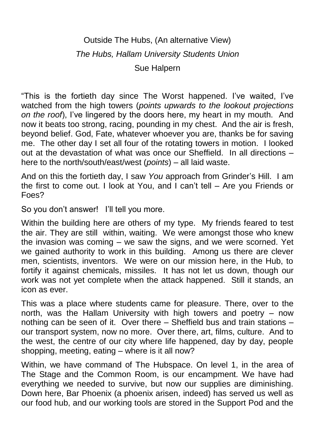# Outside The Hubs, (An alternative View) *The Hubs, Hallam University Students Union* Sue Halpern

"This is the fortieth day since The Worst happened. I've waited, I've watched from the high towers (*points upwards to the lookout projections on the roof*), I've lingered by the doors here, my heart in my mouth. And now it beats too strong, racing, pounding in my chest. And the air is fresh, beyond belief. God, Fate, whatever whoever you are, thanks be for saving me. The other day I set all four of the rotating towers in motion. I looked out at the devastation of what was once our Sheffield. In all directions – here to the north/south/east/west (*points*) – all laid waste.

And on this the fortieth day, I saw *You* approach from Grinder's Hill. I am the first to come out. I look at You, and I can't tell – Are you Friends or Foes?

So you don't answer! I'll tell you more.

Within the building here are others of my type. My friends feared to test the air. They are still within, waiting. We were amongst those who knew the invasion was coming – we saw the signs, and we were scorned. Yet we gained authority to work in this building. Among us there are clever men, scientists, inventors. We were on our mission here, in the Hub, to fortify it against chemicals, missiles. It has not let us down, though our work was not yet complete when the attack happened. Still it stands, an icon as ever.

This was a place where students came for pleasure. There, over to the north, was the Hallam University with high towers and poetry – now nothing can be seen of it. Over there – Sheffield bus and train stations – our transport system, now no more. Over there, art, films, culture. And to the west, the centre of our city where life happened, day by day, people shopping, meeting, eating – where is it all now?

Within, we have command of The Hubspace. On level 1, in the area of The Stage and the Common Room, is our encampment. We have had everything we needed to survive, but now our supplies are diminishing. Down here, Bar Phoenix (a phoenix arisen, indeed) has served us well as our food hub, and our working tools are stored in the Support Pod and the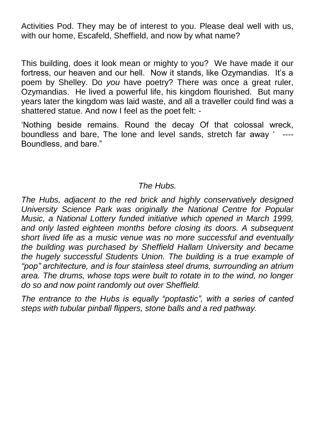Activities Pod. They may be of interest to you. Please deal well with us, with our home, Escafeld, Sheffield, and now by what name?

This building, does it look mean or mighty to you? We have made it our fortress, our heaven and our hell. Now it stands, like Ozymandias. It's a poem by Shelley. Do *you* have poetry? There was once a great ruler, Ozymandias. He lived a powerful life, his kingdom flourished. But many years later the kingdom was laid waste, and all a traveller could find was a shattered statue. And now I feel as the poet felt: -

'Nothing beside remains. Round the decay Of that colossal wreck, boundless and bare, The lone and level sands, stretch far away ' ---- Boundless, and bare."

## *The Hubs.*

*The Hubs, adjacent to the red brick and highly conservatively designed University Science Park was originally the National Centre for Popular Music, a National Lottery funded initiative which opened in March 1999, and only lasted eighteen months before closing its doors. A subsequent short lived life as a music venue was no more successful and eventually the building was purchased by Sheffield Hallam University and became the hugely successful Students Union. The building is a true example of "pop" architecture, and is four stainless steel drums, surrounding an atrium area. The drums, whose tops were built to rotate in to the wind, no longer do so and now point randomly out over Sheffield.*

*The entrance to the Hubs is equally "poptastic", with a series of canted steps with tubular pinball flippers, stone balls and a red pathway.*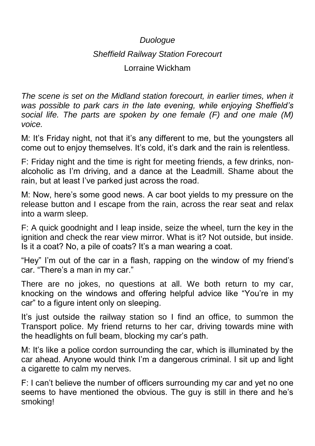# *Duologue Sheffield Railway Station Forecourt* Lorraine Wickham

*The scene is set on the Midland station forecourt, in earlier times, when it was possible to park cars in the late evening, while enjoying Sheffield's social life. The parts are spoken by one female (F) and one male (M) voice.*

M: It's Friday night, not that it's any different to me, but the youngsters all come out to enjoy themselves. It's cold, it's dark and the rain is relentless.

F: Friday night and the time is right for meeting friends, a few drinks, nonalcoholic as I'm driving, and a dance at the Leadmill. Shame about the rain, but at least I've parked just across the road.

M: Now, here's some good news. A car boot yields to my pressure on the release button and I escape from the rain, across the rear seat and relax into a warm sleep.

F: A quick goodnight and I leap inside, seize the wheel, turn the key in the ignition and check the rear view mirror. What is it? Not outside, but inside. Is it a coat? No, a pile of coats? It's a man wearing a coat.

"Hey" I'm out of the car in a flash, rapping on the window of my friend's car. "There's a man in my car."

There are no jokes, no questions at all. We both return to my car, knocking on the windows and offering helpful advice like "You're in my car" to a figure intent only on sleeping.

It's just outside the railway station so I find an office, to summon the Transport police. My friend returns to her car, driving towards mine with the headlights on full beam, blocking my car's path.

M: It's like a police cordon surrounding the car, which is illuminated by the car ahead. Anyone would think I'm a dangerous criminal. I sit up and light a cigarette to calm my nerves.

F: I can't believe the number of officers surrounding my car and yet no one seems to have mentioned the obvious. The guy is still in there and he's smoking!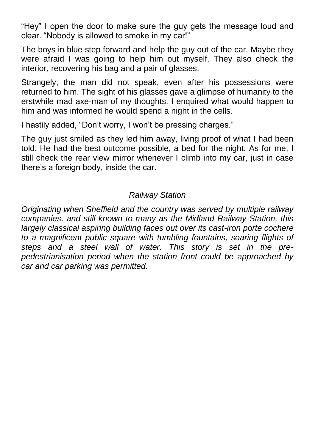"Hey" I open the door to make sure the guy gets the message loud and clear. "Nobody is allowed to smoke in my car!"

The boys in blue step forward and help the guy out of the car. Maybe they were afraid I was going to help him out myself. They also check the interior, recovering his bag and a pair of glasses.

Strangely, the man did not speak, even after his possessions were returned to him. The sight of his glasses gave a glimpse of humanity to the erstwhile mad axe-man of my thoughts. I enquired what would happen to him and was informed he would spend a night in the cells.

I hastily added, "Don't worry, I won't be pressing charges."

The guy just smiled as they led him away, living proof of what I had been told. He had the best outcome possible, a bed for the night. As for me, I still check the rear view mirror whenever I climb into my car, just in case there's a foreign body, inside the car.

## *Railway Station*

*Originating when Sheffield and the country was served by multiple railway companies, and still known to many as the Midland Railway Station, this*  largely classical aspiring building faces out over its cast-iron porte cochere *to a magnificent public square with tumbling fountains, soaring flights of steps and a steel wall of water. This story is set in the prepedestrianisation period when the station front could be approached by car and car parking was permitted.*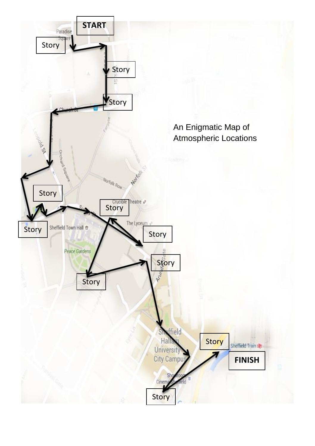